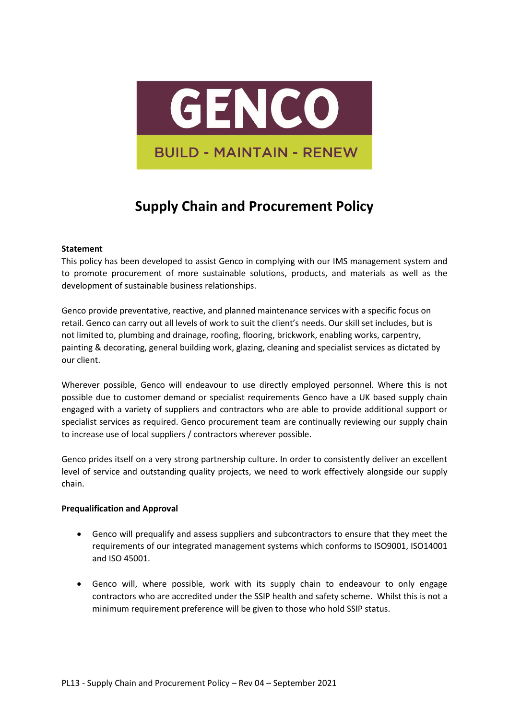

## **Supply Chain and Procurement Policy**

## **Statement**

This policy has been developed to assist Genco in complying with our IMS management system and to promote procurement of more sustainable solutions, products, and materials as well as the development of sustainable business relationships.

Genco provide preventative, reactive, and planned maintenance services with a specific focus on retail. Genco can carry out all levels of work to suit the client's needs. Our skill set includes, but is not limited to, plumbing and drainage, roofing, flooring, brickwork, enabling works, carpentry, painting & decorating, general building work, glazing, cleaning and specialist services as dictated by our client.

Wherever possible, Genco will endeavour to use directly employed personnel. Where this is not possible due to customer demand or specialist requirements Genco have a UK based supply chain engaged with a variety of suppliers and contractors who are able to provide additional support or specialist services as required. Genco procurement team are continually reviewing our supply chain to increase use of local suppliers / contractors wherever possible.

Genco prides itself on a very strong partnership culture. In order to consistently deliver an excellent level of service and outstanding quality projects, we need to work effectively alongside our supply chain.

## **Prequalification and Approval**

- Genco will prequalify and assess suppliers and subcontractors to ensure that they meet the requirements of our integrated management systems which conforms to ISO9001, ISO14001 and ISO 45001.
- Genco will, where possible, work with its supply chain to endeavour to only engage contractors who are accredited under the SSIP health and safety scheme. Whilst this is not a minimum requirement preference will be given to those who hold SSIP status.